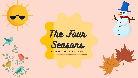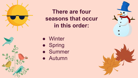

**There are four seasons that occur in this order:**



- Spring
- Summer
- Autumn





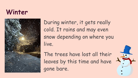### **Winter**



During winter, it gets really cold. It rains and may even snow depending on where you live.

The trees have lost all their leaves by this time and have gone bare.

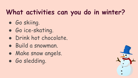# **What activities can you do in winter?**

- Go skiing.
- Go ice-skating.
- Drink hot chocolate.
- Build a snowman.
- Make snow angels.
- Go sledding.

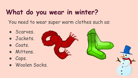# **What do you wear in winter?**

You need to wear super warm clothes such as:

- Scarves.
- Jackets.
- Coats.
- Mittens.
- Caps.
- Woolen Socks.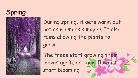### **Spring**



During spring, it gets warm but not as warm as summer. It also rains allowing the plants to grow.

The trees start growing their leaves again, and new flowers. start blooming.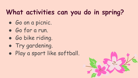# **What activities can you do in spring?**

- Go on a picnic.
- Go for a run.
- Go bike riding.
- Try gardening.
- Play a sport like softball.

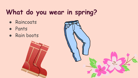# **What do you wear in spring?**

- Raincoats
- Pants
- Rain boots

**MARKET HARRY AND READY** 

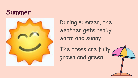#### **Summer**



During summer, the weather gets really warm and sunny.

The trees are fully grown and green.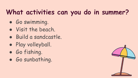## **What activities can you do in summer?**

- Go swimming.
- Visit the beach.
- Build a sandcastle.
- Play volleyball.
- Go fishing.
- Go sunbathing.

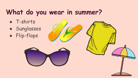### **What do you wear in summer?**

- T-shirts
- Sunglasses
- Flip-flops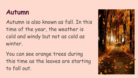#### **Autumn**

Autumn is also known as fall. In this time of the year, the weather is cold and windy but not as cold as winter.

You can see orange trees during this time as the leaves are starting to fall out.

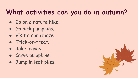## **What activities can you do in autumn?**

- Go on a nature hike.
- Go pick pumpkins.
- Visit a corn maze.
- Trick-or-treat.
- Rake leaves.
- Carve pumpkins.
- Jump in leaf piles.